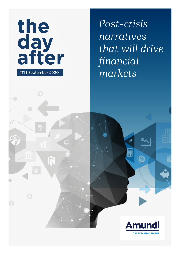

Г

*Post-crisis narratives that will drive financial markets*

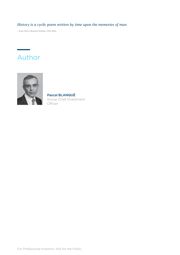## *History is a cyclic poem written by time upon the memories of man*

– Poet Percy Bysshe Shelley, 1792-1822

# Author



Pascal BLANQUÉ Group Chief Investment **Officer** 

For Professional Investors. Not for the Public.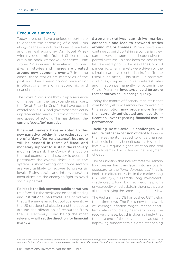#### Executive summary

Today, investors have a unique opportunity to observe the spreading of a real virus alongside the viral nature of financial markets and the real economy. As Nobel Prizewinning economist Robert Shiller points out in his book, *Narrative Economics: How Stories Go Viral and Drive Major Economic Events*, "stories and images are created around new economic events"<sup>1</sup>. In some cases, these stories are memories of the past and their spreading can have major implications regarding economic and financial markets.

The Covid-19 crisis has thrown up a sequence of images from the past (pandemics, wars, the Great Financial Crisis) that have pushed central banks (CB) and governments to act in unprecedented ways (in terms of magnitude and speed of action). This has defined the current '*day after*' narrative.

Financial markets have adapted to this new narrative, pricing in the rosiest scenario of a 'day-after renaissance', but more will be needed in terms of fiscal and monetary support to sustain the recovery moving forward. The Covid-19 fallout on the real economy and society is deep and pervasive: the overall debt level in the system is skyrocketing and some sectors are very unlikely to recover to pre-crisis levels. Rising social and inter-generation inequalities are the enemy to fight to avoid social upheaval.

Politics is the link between public narratives (reinforced in the media and on social media) and **institutional narratives.** The narratives that will emerge amid hot political events the US presidential election and the debate around the allocation of resources from the EU Recovery Fund being the most relevant — will set the direction for financial markets.

Strong narratives can drive market consensus and lead to crowded trades around major themes. When narratives continue to build up, taking a contrarian view can be very dangerous and expensive for portfolio returns. This has been the case in the last few years prior to the rise of the Covid-19 pandemic, when markets were driven by the stimulus narrative (central banks first, Trump fiscal push after). This stimulus narrative continues, coupled with zero interest rates and inflation permanently forgotten in the Covid-19 era, but investors should be aware that narratives could change quickly.

Today, the mantra of financial markets is that core bond yields will remain low forever, but this assumption may prove more fragile than currently anticipated and have significant spillover regarding financial market performance.

Tackling post-Covid-19 challenges will require further expansion of debt to finance the investments needed to drive changes that could broadly benefit society. High debt levels will require higher inflation and real rates to remain low to favour the repayment of debt.

The assumption that interest rates will remain low forever has translated into an overly exposure to the '*long duration call*' that is implicit in different trades in the market: long US Treasury (UST) trade, long investmentgrade credit, long Big Tech equities, long private equity or real estate. In the end, they are all trades playing the same long duration view.

The Fed unlimited QE has pushed UST yields to all-time lows. The Fed's new framework of "average inflation target" means shortterm rates should stay near zero during the recovery phase, but this doesn't imply that the long end of the curve cannot adjust to improving fundamentals. Some steepening

<sup>1.</sup> In the words of Shiller, narrative economics is: "*a theory of economic change that introduces an important new element to usual list of economic factors driving the economy: contagious popular stories that spread through word of mouth, the news media, and social media*".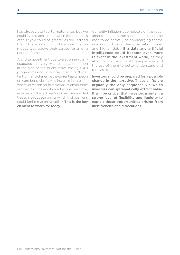has already started to materialise, but we could even reach a point when the steepness of this cycle could be greater, as the Fed and the ECB are not going to hike until inflation moves way above their target for a long period of time.

Any disappointment due to a stronger-thanexpected recovery or a technical reduction in the size of the quantitative easing (QE) programmes could trigger a sort of 'taper tantrum' and challenge the current assumption on core bond yields. Any increase in rates for whatever reason could make valuations in some segments of the equity market unsustainable, especially in the tech sector. Given the crowded trades in this space, any unwinding of positions could ignite market volatility. This is the key element to watch for today.

Currently, inflation is completely off the radar among market participants, but it should be monitored actively as an emerging theme in a world of rising de-globalisation forces and higher debt. Big data and artificial intelligence could become even more relevant in the investment world, as they allow for the tracking of these patterns and the use of them to better understand and forecast trends.

Investors should be prepared for a possible change in the narrative. These shifts are arguably the only sequence via which investors can systematically extract value. It will be critical that investors maintain a strong level of flexibility and liquidity to exploit those opportunities arising from inefficiencies and dislocations.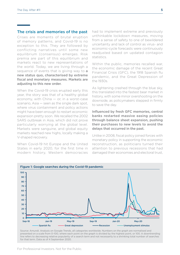### The crisis and memories of the past

Crises are moments of brutal eruption of memory patterns, and Covid-19 is no exception to this. They are followed by conflicting narratives until some new equilibrium (consensus) emerges. Risk premia are part of this equilibrium and markets react to new representations of the world. Today, we are living through a sequence of events that is giving way to a new status quo, characterised by extreme fiscal and monetary measures. Markets are adjusting to this new order.

When the Covid-19 crisis erupted early this year, the story was that of a healthy global economy, with China — or, in a worst-case scenario, Asia — seen as the single dark spot, where virus containment and policy actions might have been enough to restart economic expansion pretty soon. We recalled the 2002 SARS outbreak in Asia, which did not prove particularly worrying at the global level. Markets were sanguine, and global equity markets reached new highs, locally making a V-shaped recovery.

When Covid-19 hit Europe and the United States in early 2020, for the first time in modern history, Western democracies

had to implement extreme and previously unthinkable lockdown measures, moving from a sense of safety to one of bewildered uncertainty and lack of control as virus- and economic-cycle forecasts were continuously readjusted based on updated contagion statistics.

Within the public, memories recalled war, the economic damage of the recent Great Financial Crisis (GFC), the 1918 Spanish flu pandemic, and the Great Depression of the 1930s.

As lightening crashed through the blue sky, this translated into the fastest bear market in history, with some minor overshooting on the downside, as policymakers stepped in firmly to save the day.

Influenced by fresh GFC memories, central banks restarted massive easing policies through balance sheet expansion, pushing their purchases to new levels to avoid the delays that occurred in the past.

Unlike in 2008, fiscal policy joined forces with monetary policy in supporting the economic reconstruction, as politicians turned their attention to previous recessions that had damaged their economies and electoral trust,



Source: Amundi. Analysis on Google Trends, all categories worldwide. Numbers on the graph are normalised and presented on a scale from 0–100, where each point on the graph is divided by the highest point, or 100. A downtrending line refers to decreasing relative popularity of a search term and not necessarily to a shrinking total number of searches for that term. Data as of 4 September 2020.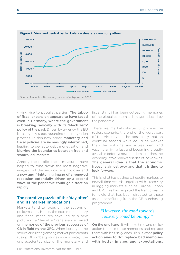

giving rise to populist parties. The taboo of fiscal expansion appears to have faded even in Germany, where the government is breaking radically with its 'black zero' policy of the past. Driven by urgency, the EU is taking key steps regarding the integration process. In this new order, monetary and fiscal policies are increasingly intertwined, leading to de-facto debt monetisation and blurring the boundaries between free and 'controlled' markets.

Among the public, these measures have helped to tone down the most negative images, but the virus cycle is not over and a new and frightening image of a renewed recession potentially driven by a second wave of the pandemic could gain traction rapidly.

#### The narrative puzzle of the 'day after' and its market implications

Markets tend to focus on the actions of policymakers. Hence, the extreme monetary and fiscal measures have led to a new picture of a 'day after' renaissance, based on memories of the previous successes of **CB in fighting the GFC.** When looking at the stories circulating among market participants (using Bloomberg stories as a source), the unprecedented size of the monetary and

fiscal stimuli has been outpacing memories of the global economic damage induced by the pandemic.

Therefore, markets started to price in the rosiest scenario: the end of the worst part of the virus cycle, the possibility that an eventual second wave could be weaker than the first one, and a treatment and vaccine arriving fast and becoming broadly available before a new pandemic pushes the economy into a renewed series of lockdowns. The general idea is that the economic freeze is almost over and that it is time to look forward.

This is what has pushed US equity markets to new all-time records, together with a recovery in lagging markets such as Europe, Japan and EM. This has reignited the frantic search for yield that has been directed to those assets benefitting from the CB purchasing programmes.

## *"However, the road towards recovery could be bumpy."*

On the one hand, it will take time and policy action to erase these memories and replace them with less risky ones. This is what policy action aims to do: replace bad memories with better images and expectations.

For Professional Investors. Not for the Public.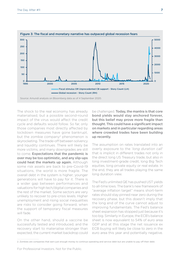

The shock to the real economy has already materialised, but a possible second-round impact of the virus would affect the credit cycle and defaults would follow. So far, only those companies most directly affected by lockdown measures have gone bankrupt, but the zombie company<sup>2</sup> phenomenon is skyrocketing. The trade-off between solvency and liquidity continues. There will likely be more victims, and many downgrades are still to come. Expectations that the pandemic is over may be too optimistic, and any slip-ups could heat the markets up again. Although some risk assets are back to pre-Covid-19 situations, the world is more fragile. The overall debt in the system is higher; younger generations will have to pay for it. There is a wider gap between performances and valuations for high tech/digital companies and the rest of the market. Some sectors are very unlikely to recover to pre-crisis levels. Higher unemployment and rising social inequalities are risks to consider going forward, when the support of temporary fiscal measures will fade.

On the other hand, should a vaccine be successfully tested and introduced, and the recovery start to materialise stronger than expected, the current market backdrop could be challenged. Today, the mantra is that core bond yields would stay anchored forever, but this belief may prove more fragile than thought. This could have a significant impact on markets and in particular regarding areas where crowded trades have been building up recently.

The assumption on rates translated into an overly exposure to the '*long duration call*' that is implicit in different trades not only in the direct long US Treasury trade, but also in long investment-grade credit, long Big Tech equities, long private equity or real estate. In the end, they are all trades playing the same long duration view.

The Fed's unlimited QE has pushed UST yields to all-time lows. The bank's new framework of "average inflation target" means short-term rates should stay pinned near zero during the recovery phase, but this doesn't imply that the long end of the curve cannot adjust to improving fundamentals. The Fed's balance sheet expansion has stopped just because it's too big. Similarly in Europe, the ECB's balance sheet is now equivalent to 54% of euro area GDP and at this stage the net issuance ex ECB buying will likely be close to zero in the euro area this year and potentially negative.

<sup>2.</sup> Zombies are companies that earn just enough money to continue operating and service debt but are unable to pay off their debt.

For Professional Investors. Not for the Public.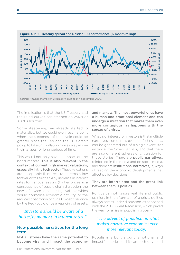

The implication is that the US Treasury and the Bund curves can steepen on 2s10s or 10s30s horizons.

Some steepening has already started to materialise, but we could even reach a point when the steepness of this cycle could be greater, since the Fed and the ECB aren't going to hike until inflation moves way above their targets for long periods of time.

This would not only have an impact on the bond market. This is also relevant in the context of current high market valuations, especially in the tech sector. These valuations are acceptable if interest rates remain low forever or fall further. Any increase in interest rates for various reasons (higher prices as a consequence of supply chain disruption, the news of a vaccine becoming available which would normalise economic activity, or the reduced absorption of huge US debt issuance by the Fed) could drive a repricing of assets.

## *"Investors should be aware of a butterfly moment in interest rates."*

### New possible narratives for the long term

Not all stories have the same potential to become viral and impact the economy

and markets. The most powerful ones have a human and emotional element and can undergo a mutation that makes them even more contagious, as happens with the spread of a virus.

What is of interest for investors is that multiple narratives, sometimes even conflicting ones, can be generated out of a single event (for instance, the Covid-19 crisis) and that there are also different spheres of circulation for these stories. There are public narratives, reinforced in the media and on social media, and there are *institutional narratives*, ie, ways of reading the economic developments that affect policy decisions.

#### They are interrelated and the great link between them is politics.

Politics cannot ignore real life and public opinion. In the aftermath of a crisis, politics always comes under discussion, as happened with the 2008 Great Recession, which paved the way for a rise in populism globally.

## *"The advent of populism is what makes narrative economics even more relevant today."*

Populism is built around emotional and impactful stories and it can both drive and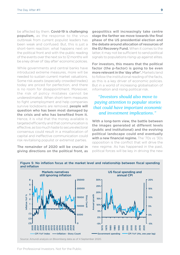be affected by them. Covid-19 is challenging populism, as the response to the virus outbreak from current populist leaders has been weak and confused. But, this is just a short-term reaction: what happens next on the political front and with the public reading of the events over the next six to 12 months will be a key driver of 'day after' economic policies.

While governments and central banks have introduced extreme measures, more will be needed to sustain current market valuations. Some risk assets (especially crowded trades) today are priced for perfection, and there is no room for disappointment. Moreover, the risk of policy mistakes cannot be underestimated. When short-term measures to fight unemployment and help companies survive lockdowns are removed, **people will** question who has been most damaged by the crisis and who has benefited from it. Hence, it is vital that the money available is targeted efficiently and that communication is effective, as too much haste to secure electoral consensus could result in a misallocation of capital and ineffective communication could risk revitalising populist or extremist parties.

The remainder of 2020 will be crucial in giving directions on the political front, as geopolitics will increasingly take centre stage the farther we move towards the final phase of the US presidential election and the debate around allocation of resources of the EU Recovery Fund. When it comes to the latter, it may not be sufficient to send political signals to populations rising up against elites.

For investors, this means that the political factor (the p-factor) is going to be even more relevant in the 'day after'. Markets tend to follow the institutional reading of the facts, as this is a key driver of economic policies. But in a world of increasing globalisation of information and rising political risk.

## *"Investors should also move to paying attention to popular stories that could have important economic and investment implications."*

With a long-term view, the battle between the images generated at different levels (public and institutional) and the evolving political landscape could end eventually with a new financial regime. The '70s vs '30s opposition is the conflict that will drive the new regime. As has happened in the past, political forces will be key in driving the new



Figure 5: No inflation focus at the market level and relationship between fiscal spending and inflation

Source: Amundi analysis on Bloomberg data as of 4 September 2020.

For Professional Investors. Not for the Public.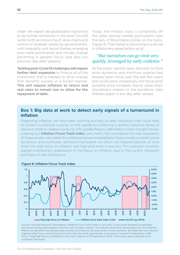order. We expect de-globalisation dynamics to be further reinforced in the post-Covid19 world (with re-insourcing of value chains and control of strategic assets by governments), with inequality and social themes emerging even more prominently and climate change becoming in greater focus (see also our previous 'day after' papers).

Tackling post-Covid 19 challenges will require further debt expansion to finance all of the investment that is needed to drive change that benefits society in a broad manner. This will require inflation to return and real rates to remain low to allow for the repayment of debt.

Today, the inflation topic is completely off the radar among market participants (see the lack of Bloomberg stories on the topic, Figure 4). The market is not pricing in a revival in inflationary expectations at all.

## *"But narratives can go viral very quickly, leveraged by early evidence."*

At the public opinion level, attention to food price dynamics and minimum salaries had already been rising over the last few years and could come increasingly into focus amid possible price increases due to value chain disruptions related to the pandemic (see *[Inflation](https://research-center.amundi.com/page/Article/2020/06/The-day-after-6-Inflation-persistent-headwinds-but-a-possible-inflationary-cocktail?search=true)* paper in the 'day after' series).

### Box 1: Big data at work to detect early signals of a turnaround in inflation

Regarding inflation, we have been working actively to seek indicators that could help to predict a potential surprise on the upside by collecting a weekly historical series of relevant inflation-related words (ie, CPI, gold&inflation, oil&inflation) from Google Trends, creating our **Inflation Focus Track Index** (see chart). We considered the web popularity of these words, calculated the statistical power embedded in these words to predict price dynamics, and eventually defined a framework via which we mapped periods of time when the web focus on inflation was high and when it was low. This indicator currently signals a temporary stabilisation in the focus on inflation, due to the current recession and fears of new lockdowns.



Figure 6: Inflation Focus Track Index

Source: Amundi Research, Bloomberg. Inflation Focus Track Index is Amundi's Cross-Asset Research proprietary tool based on big data analysis from the web (Google Trends). The relevant text/word combinations for the inflation theme are identified and dynamically tracked according to the popularity of web searches. We detected two relevant regimes (high focus and low focus) to articulate the most appropriate cross-asset investment implications. High focus = flag high focus on inflation in the chart. Data as of 10 September 2020. Time-series data collected at an extremely fine scale.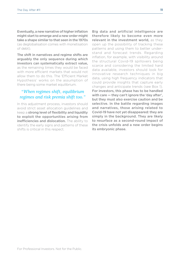Eventually, a new narrative of higher inflation might start to emerge and a new order might take a shape similar to that seen in the 1970s (as deglobalisation comes with monetisation of debt).

The shift in narratives and regime shifts are arguably the only sequence during which investors can systematically extract value, as the remaining times they would be faced with more efficient markets that would not allow them to do this. The 'Efficient Market Hypothesis' works on the assumption of there being some market equilibrium.

## *"When regimes shift, equilibrium regimes and risk premia shift too."*

In this adjustment process, investors should avoid strict asset allocation guidelines and keep a strong level of flexibility and liquidity to exploit the opportunities arising from inefficiencies and dislocation. The ability to identify the early signs and patterns of these shifts is critical in this respect.

Big data and artificial intelligence are therefore likely to become even more relevant in the investment world, as they open up the possibility of tracking these patterns and using them to better understand and forecast trends. Regarding inflation, for example, with visibility around the structural Covid-19 spillovers being scarce and considering the limited hard data available, investors should look for innovative research techniques in big data, using high frequency indicators that could provide insights that capture early changes and anticipate trends (see Box 1). For investors, this phase has to be handled with care — they can't ignore the 'day after', but they must also exercise caution and be selective. In the battle regarding images and narratives, those arising related to Covid-19 have not yet disappeared: they are simply in the background. They are likely to resurface as a second-round impact of the crisis unfolds and a new order begins its embryonic phase.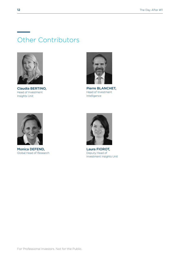# Other Contributors



Claudia BERTINO, Head of Investment Insights Unit



Pierre BLANCHET, Head of Investment Intelligence



Monica DEFEND, Global Head of Research



Laura FIOROT, Deputy Head of Investment Insights Unit